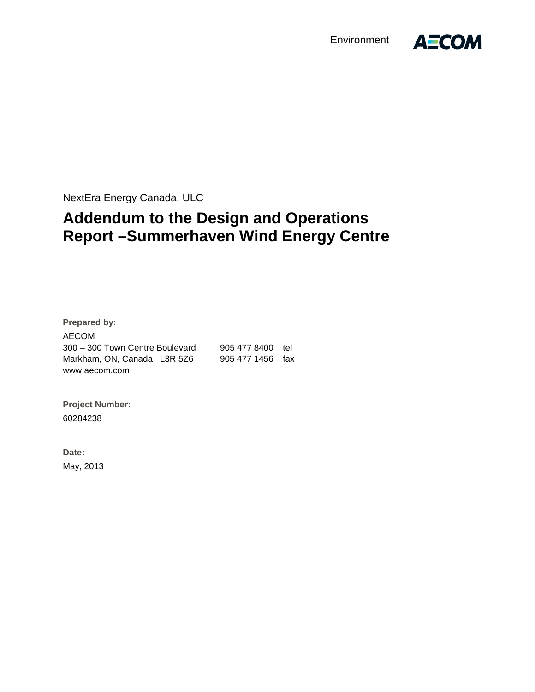Environment



NextEra Energy Canada, ULC

# **Addendum to the Design and Operations Report –Summerhaven Wind Energy Centre**

**Prepared by:**  AECOM 300 – 300 Town Centre Boulevard 905 477 8400 tel Markham, ON, Canada L3R 5Z6 905 477 1456 fax www.aecom.com

**Project Number:**  60284238

**Date:**  May, 2013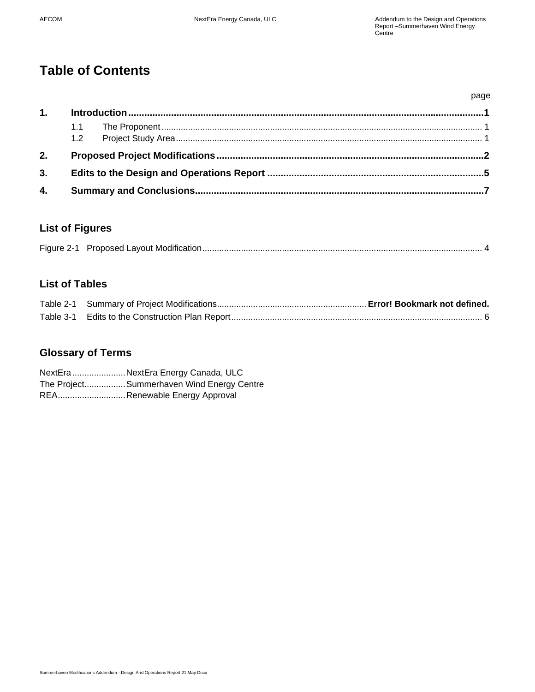## **Table of Contents**

|    |     |  | page |
|----|-----|--|------|
| 1. |     |  |      |
|    |     |  |      |
|    | 1.2 |  |      |
| 2. |     |  |      |
| 3. |     |  |      |
| 4. |     |  |      |

## **List of Figures**

|--|--|--|

## **List of Tables**

## **Glossary of Terms**

NextEra ...................... NextEra Energy Canada, ULC The Project................Summerhaven Wind Energy Centre REA.............................. Renewable Energy Approval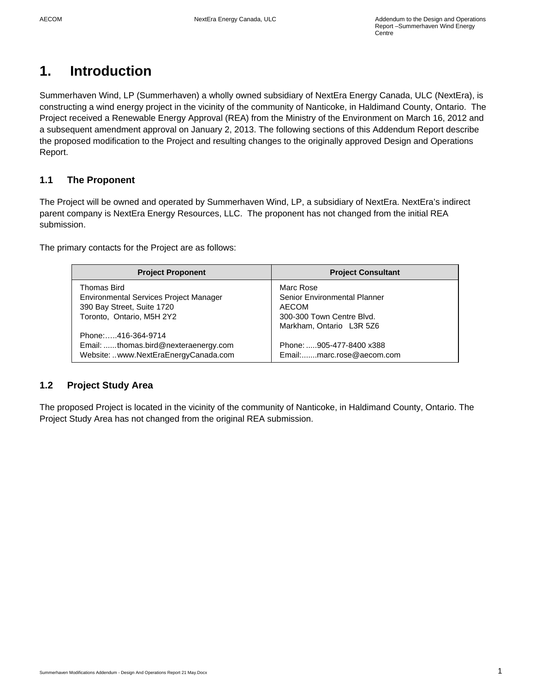## **1. Introduction**

Summerhaven Wind, LP (Summerhaven) a wholly owned subsidiary of NextEra Energy Canada, ULC (NextEra), is constructing a wind energy project in the vicinity of the community of Nanticoke, in Haldimand County, Ontario. The Project received a Renewable Energy Approval (REA) from the Ministry of the Environment on March 16, 2012 and a subsequent amendment approval on January 2, 2013. The following sections of this Addendum Report describe the proposed modification to the Project and resulting changes to the originally approved Design and Operations Report.

## **1.1 The Proponent**

The Project will be owned and operated by Summerhaven Wind, LP, a subsidiary of NextEra. NextEra's indirect parent company is NextEra Energy Resources, LLC. The proponent has not changed from the initial REA submission.

The primary contacts for the Project are as follows:

| <b>Project Proponent</b>               | <b>Project Consultant</b>    |
|----------------------------------------|------------------------------|
| Thomas Bird                            | Marc Rose                    |
| Environmental Services Project Manager | Senior Environmental Planner |
| 390 Bay Street, Suite 1720             | AECOM                        |
| Toronto, Ontario, M5H 2Y2              | 300-300 Town Centre Blvd.    |
|                                        | Markham, Ontario L3R 5Z6     |
| Phone:416-364-9714                     |                              |
| Email: thomas.bird@nexteraenergy.com   | Phone: 905-477-8400 x388     |
| Website: www.NextEraEnergyCanada.com   | Email:marc.rose@aecom.com    |

#### **1.2 Project Study Area**

The proposed Project is located in the vicinity of the community of Nanticoke, in Haldimand County, Ontario. The Project Study Area has not changed from the original REA submission.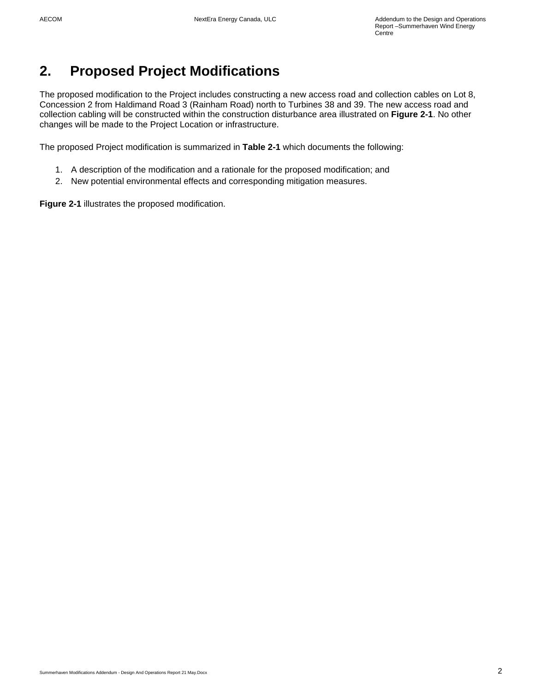# **2. Proposed Project Modifications**

The proposed modification to the Project includes constructing a new access road and collection cables on Lot 8, Concession 2 from Haldimand Road 3 (Rainham Road) north to Turbines 38 and 39. The new access road and collection cabling will be constructed within the construction disturbance area illustrated on **Figure 2-1**. No other changes will be made to the Project Location or infrastructure.

The proposed Project modification is summarized in **Table 2-1** which documents the following:

- 1. A description of the modification and a rationale for the proposed modification; and
- 2. New potential environmental effects and corresponding mitigation measures.

**Figure 2-1** illustrates the proposed modification.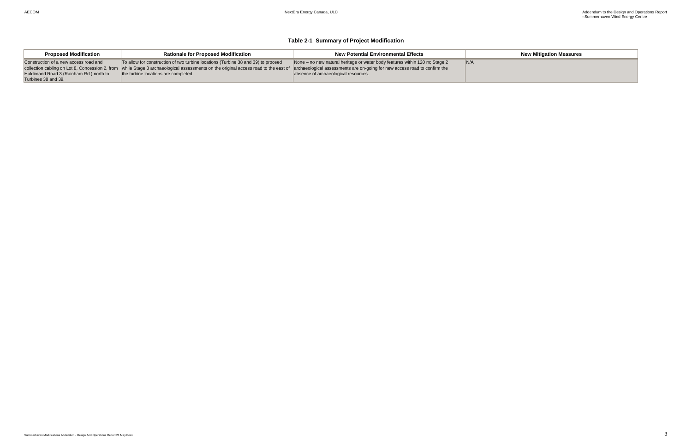**New Mitigation Measures** 

#### **Table 2-1 Summary of Project Modification**

| <b>Proposed Modification</b>            | <b>Rationale for Proposed Modification</b>                                                                                                                                                                     | <b>New Potential Environmental Effects</b>                                  |     |
|-----------------------------------------|----------------------------------------------------------------------------------------------------------------------------------------------------------------------------------------------------------------|-----------------------------------------------------------------------------|-----|
| Construction of a new access road and   | To allow for construction of two turbine locations (Turbine 38 and 39) to proceed                                                                                                                              | None – no new natural heritage or water body features within 120 m; Stage 2 | N/A |
|                                         | collection cabling on Lot 8, Concession 2, from while Stage 3 archaeological assessments on the original access road to the east of archaeological assessments are on-going for new access road to confirm the |                                                                             |     |
| Haldimand Road 3 (Rainham Rd.) north to | the turbine locations are completed.                                                                                                                                                                           | absence of archaeological resources.                                        |     |
| Turbines 38 and 39.                     |                                                                                                                                                                                                                |                                                                             |     |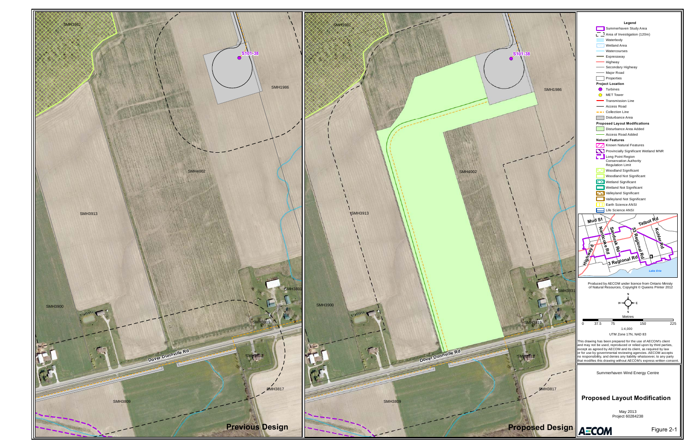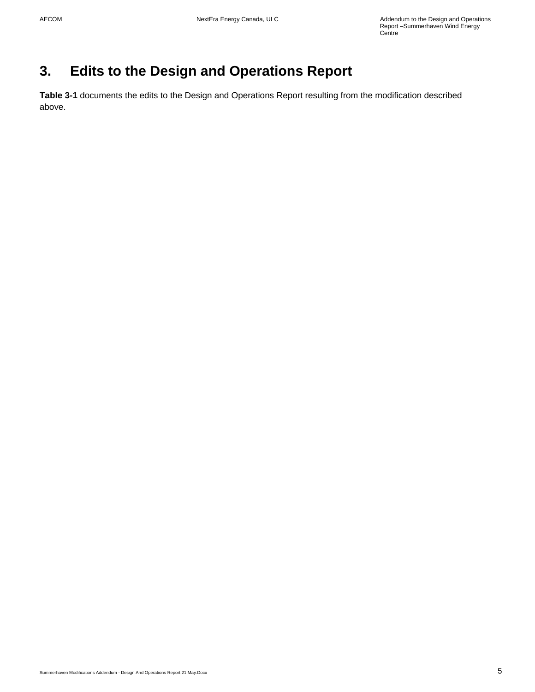# **3. Edits to the Design and Operations Report**

**Table 3-1** documents the edits to the Design and Operations Report resulting from the modification described above.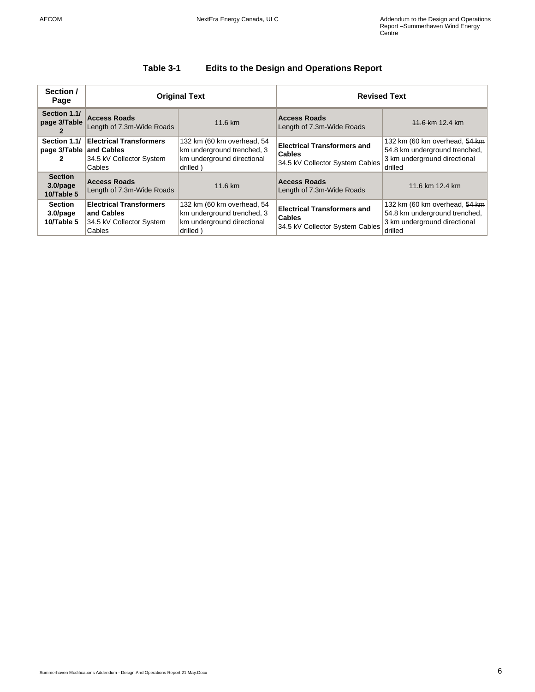### **Table 3-1 Edits to the Design and Operations Report**

| Section /<br>Page                           | <b>Original Text</b>                                                               |                                                                                                    | <b>Revised Text</b>                                                                    |                                                                                                           |
|---------------------------------------------|------------------------------------------------------------------------------------|----------------------------------------------------------------------------------------------------|----------------------------------------------------------------------------------------|-----------------------------------------------------------------------------------------------------------|
| Section 1.1/<br>page 3/Table                | <b>Access Roads</b><br>Length of 7.3m-Wide Roads                                   | 11.6 km                                                                                            | <b>Access Roads</b><br>Length of 7.3m-Wide Roads                                       | 11.6 km 12.4 km                                                                                           |
| Section 1.1/<br>page 3/Table                | <b>Electrical Transformers</b><br>and Cables<br>34.5 kV Collector System<br>Cables | 132 km (60 km overhead, 54<br>km underground trenched, 3<br>km underground directional<br>drilled) | <b>Electrical Transformers and</b><br><b>Cables</b><br>34.5 kV Collector System Cables | 132 km (60 km overhead, 54 km<br>54.8 km underground trenched,<br>3 km underground directional<br>drilled |
| <b>Section</b><br>$3.0$ /page<br>10/Table 5 | <b>Access Roads</b><br>Length of 7.3m-Wide Roads                                   | 11.6 km                                                                                            | <b>Access Roads</b><br>Length of 7.3m-Wide Roads                                       | 11.6 km 12.4 km                                                                                           |
| <b>Section</b><br>$3.0$ /page<br>10/Table 5 | <b>Electrical Transformers</b><br>and Cables<br>34.5 kV Collector System<br>Cables | 132 km (60 km overhead, 54<br>km underground trenched, 3<br>km underground directional<br>drilled) | <b>Electrical Transformers and</b><br><b>Cables</b><br>34.5 kV Collector System Cables | 132 km (60 km overhead, 54 km<br>54.8 km underground trenched.<br>3 km underground directional<br>drilled |